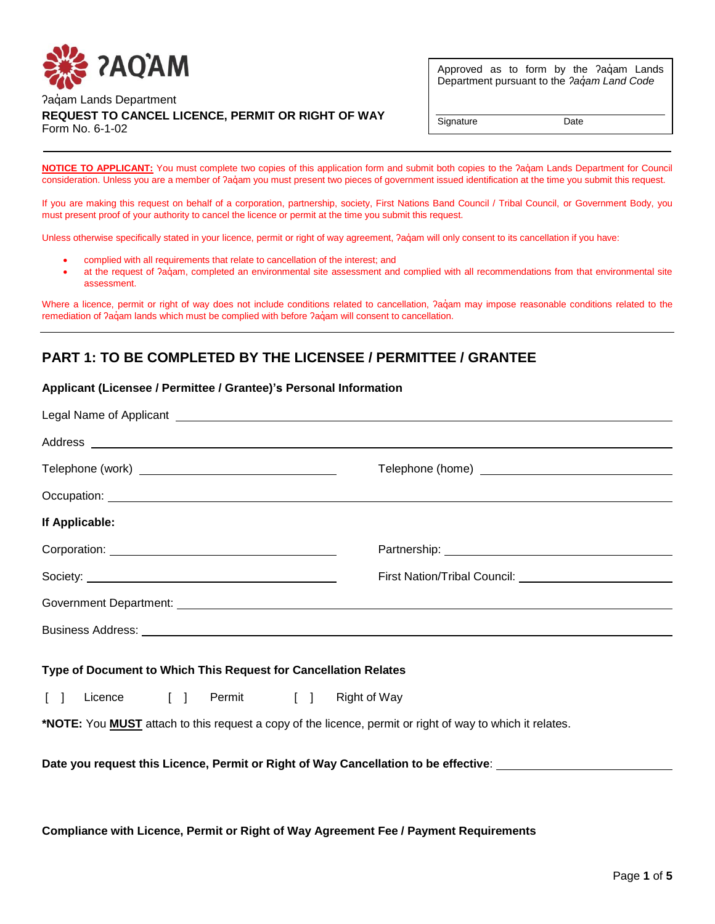

Approved as to form by the ?aqam Lands Department pursuant to the *ʔaq̓am Land Code*

### Paqam Lands Department **REQUEST TO CANCEL LICENCE, PERMIT OR RIGHT OF WAY** Form No. 6-1-02

Signature Date

**NOTICE TO APPLICANT:** You must complete two copies of this application form and submit both copies to the ?aqंam Lands Department for Council consideration. Unless you are a member of ?aqam you must present two pieces of government issued identification at the time you submit this request.

If you are making this request on behalf of a corporation, partnership, society, First Nations Band Council / Tribal Council, or Government Body, you must present proof of your authority to cancel the licence or permit at the time you submit this request.

Unless otherwise specifically stated in your licence, permit or right of way agreement, ?aq॑am will only consent to its cancellation if you have:

- complied with all requirements that relate to cancellation of the interest; and
- at the request of ?aq॑am, completed an environmental site assessment and complied with all recommendations from that environmental site assessment.

Where a licence, permit or right of way does not include conditions related to cancellation,  $2a\ddot{q}$ am may impose reasonable conditions related to the remediation of ?aά am lands which must be complied with before ?aά am will consent to cancellation.

# **PART 1: TO BE COMPLETED BY THE LICENSEE / PERMITTEE / GRANTEE**

#### **Applicant (Licensee / Permittee / Grantee)'s Personal Information**

| If Applicable:                                                                                                   |  |
|------------------------------------------------------------------------------------------------------------------|--|
|                                                                                                                  |  |
|                                                                                                                  |  |
|                                                                                                                  |  |
|                                                                                                                  |  |
| Type of Document to Which This Request for Cancellation Relates                                                  |  |
| Licence [ ] Permit [ ] Right of Way<br>$\begin{bmatrix} 1 \end{bmatrix}$                                         |  |
| *NOTE: You <b>MUST</b> attach to this request a copy of the licence, permit or right of way to which it relates. |  |
| Date you request this Licence, Permit or Right of Way Cancellation to be effective: _______________              |  |
|                                                                                                                  |  |
|                                                                                                                  |  |

**Compliance with Licence, Permit or Right of Way Agreement Fee / Payment Requirements**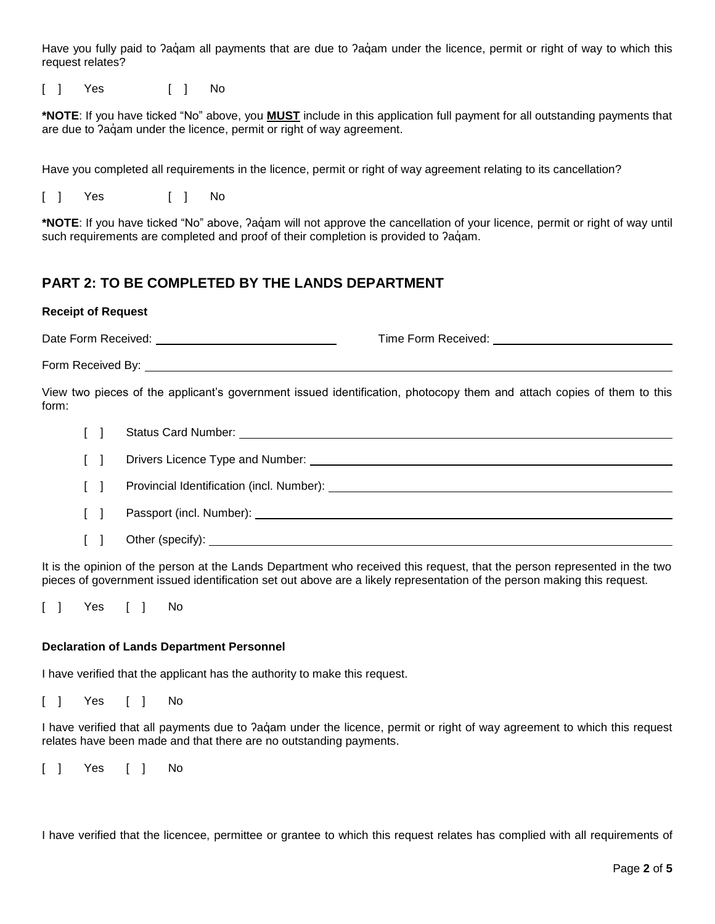Have you fully paid to ?aq´am all payments that are due to ?aq´am under the licence, permit or right of way to which this request relates?

[ ] Yes [ ] No

**\*NOTE**: If you have ticked "No" above, you **MUST** include in this application full payment for all outstanding payments that are due to  $2a\ddot{q}$ am under the licence, permit or right of way agreement.

Have you completed all requirements in the licence, permit or right of way agreement relating to its cancellation?

[ ] Yes [ ] No

**\*NOTE**: If you have ticked "No" above, ʔaq̓ am will not approve the cancellation of your licence, permit or right of way until such requirements are completed and proof of their completion is provided to ?aq̊am.

## **PART 2: TO BE COMPLETED BY THE LANDS DEPARTMENT**

#### **Receipt of Request**

Date Form Received: Time Form Received:

Form Received By:

View two pieces of the applicant's government issued identification, photocopy them and attach copies of them to this form:

| $\Box$                                          |        |                                                                                                                                                                                                                               |
|-------------------------------------------------|--------|-------------------------------------------------------------------------------------------------------------------------------------------------------------------------------------------------------------------------------|
|                                                 | $\Box$ |                                                                                                                                                                                                                               |
| $\Box$                                          |        |                                                                                                                                                                                                                               |
| $\Box$                                          |        |                                                                                                                                                                                                                               |
| $\left\lceil \left  \cdot \right  \right\rceil$ |        | Other (specify): the contract of the contract of the contract of the contract of the contract of the contract of the contract of the contract of the contract of the contract of the contract of the contract of the contract |

It is the opinion of the person at the Lands Department who received this request, that the person represented in the two pieces of government issued identification set out above are a likely representation of the person making this request.

[ ] Yes [ ] No

#### **Declaration of Lands Department Personnel**

I have verified that the applicant has the authority to make this request.

[ ] Yes [ ] No

I have verified that all payments due to ?aquam under the licence, permit or right of way agreement to which this request relates have been made and that there are no outstanding payments.

[ ] Yes [ ] No

I have verified that the licencee, permittee or grantee to which this request relates has complied with all requirements of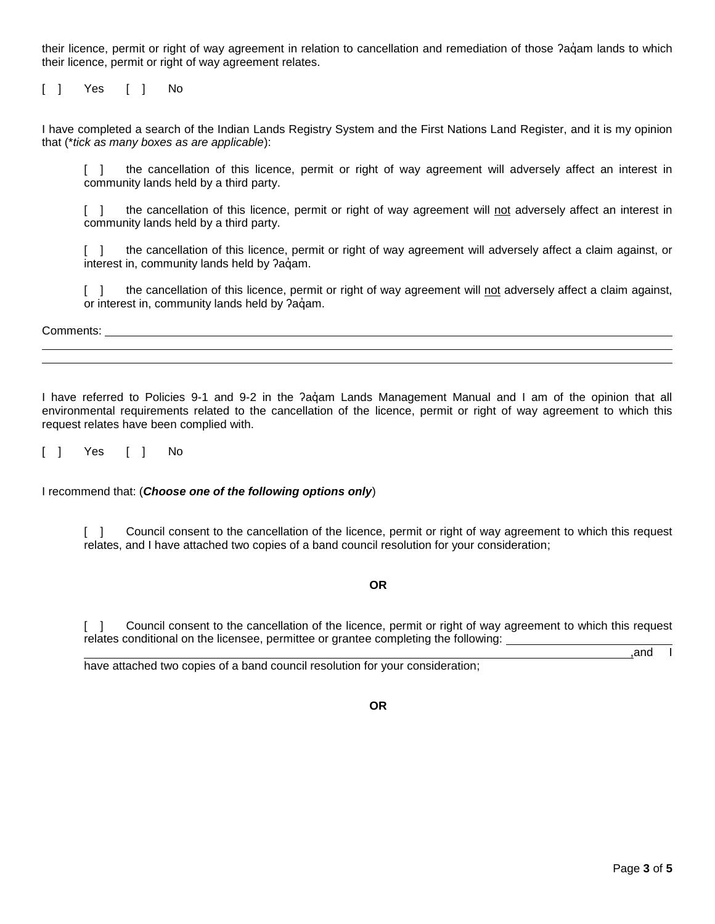their licence, permit or right of way agreement in relation to cancellation and remediation of those ?agam lands to which their licence, permit or right of way agreement relates.

[ ] Yes [ ] No

I have completed a search of the Indian Lands Registry System and the First Nations Land Register, and it is my opinion that (\**tick as many boxes as are applicable*):

[ ] the cancellation of this licence, permit or right of way agreement will adversely affect an interest in community lands held by a third party.

[ ] the cancellation of this licence, permit or right of way agreement will not adversely affect an interest in community lands held by a third party.

[ ] the cancellation of this licence, permit or right of way agreement will adversely affect a claim against, or interest in, community lands held by ?aqam.

[ ] the cancellation of this licence, permit or right of way agreement will not adversely affect a claim against, or interest in, community lands held by ?aqam.

Comments: University of the Comments: University of the Comments: University of the Comments: University of the Comments of the Comments of the Comments of the Comments of the Comments of the Comments of the Comments of th

I have referred to Policies 9-1 and 9-2 in the ?agam Lands Management Manual and I am of the opinion that all environmental requirements related to the cancellation of the licence, permit or right of way agreement to which this request relates have been complied with.

[ ] Yes [ ] No

I recommend that: (*Choose one of the following options only*)

[ ] Council consent to the cancellation of the licence, permit or right of way agreement to which this request relates, and I have attached two copies of a band council resolution for your consideration;

#### **OR**

[ ] Council consent to the cancellation of the licence, permit or right of way agreement to which this request relates conditional on the licensee, permittee or grantee completing the following:

have attached two copies of a band council resolution for your consideration;

,and I

**OR**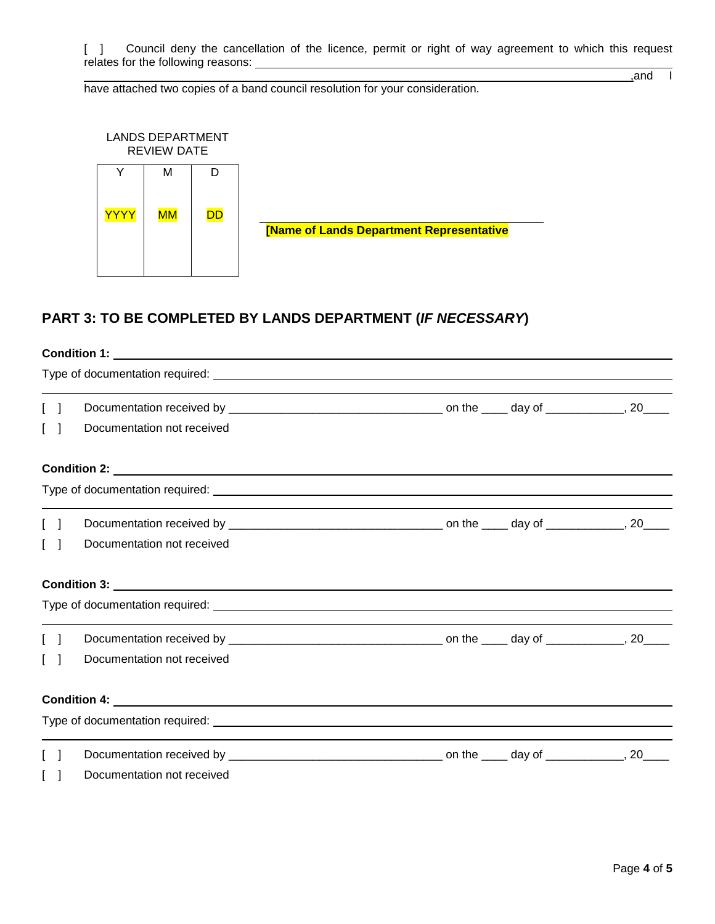[ ] Council deny the cancellation of the licence, permit or right of way agreement to which this request relates for the following reasons:

have attached two copies of a band council resolution for your consideration.

,and I



# **PART 3: TO BE COMPLETED BY LANDS DEPARTMENT (***IF NECESSARY***)**

|                                   | Documentation not received |  |  |  |  |  |
|-----------------------------------|----------------------------|--|--|--|--|--|
|                                   |                            |  |  |  |  |  |
|                                   |                            |  |  |  |  |  |
| $\begin{bmatrix} 1 \end{bmatrix}$ |                            |  |  |  |  |  |
|                                   | Documentation not received |  |  |  |  |  |
|                                   |                            |  |  |  |  |  |
|                                   |                            |  |  |  |  |  |
| $\Box$                            |                            |  |  |  |  |  |
|                                   | Documentation not received |  |  |  |  |  |
|                                   |                            |  |  |  |  |  |
|                                   |                            |  |  |  |  |  |
|                                   |                            |  |  |  |  |  |
|                                   | Documentation not received |  |  |  |  |  |